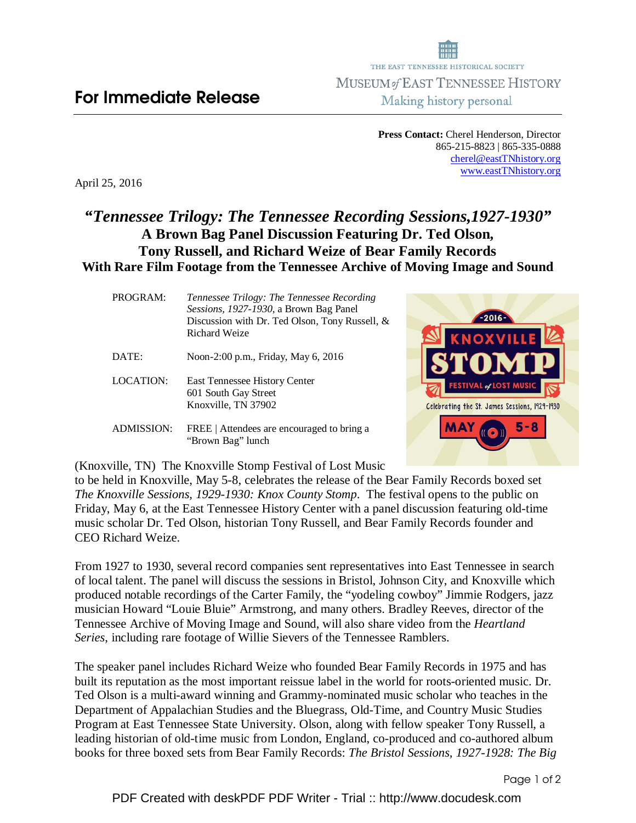THE EAST TENNESSEE HISTORICAL SOCIETY MUSEUM of EAST TENNESSEE HISTORY Making history personal

> **Press Contact:** Cherel Henderson, Director 865-215-8823 | 865-335-0888 cherel@eastTNhistory.org www.eastTNhistory.org

> > Celebrating the St. James Sessions, 1929-1930

MAY

5 - 8

April 25, 2016

## *"Tennessee Trilogy: The Tennessee Recording Sessions,1927-1930"*  **A Brown Bag Panel Discussion Featuring Dr. Ted Olson, Tony Russell, and Richard Weize of Bear Family Records With Rare Film Footage from the Tennessee Archive of Moving Image and Sound**

| PROGRAM:          | Tennessee Trilogy: The Tennessee Recording<br>Sessions, 1927-1930, a Brown Bag Panel<br>Discussion with Dr. Ted Olson, Tony Russell, $\&$<br>Richard Weize |
|-------------------|------------------------------------------------------------------------------------------------------------------------------------------------------------|
| DATE:             | Noon-2:00 p.m., Friday, May 6, 2016                                                                                                                        |
| LOCATION:         | East Tennessee History Center<br>601 South Gay Street<br>Knoxville, TN 37902                                                                               |
| <b>ADMISSION:</b> | FREE   Attendees are encouraged to bring a<br>"Brown Bag" lunch                                                                                            |

(Knoxville, TN) The Knoxville Stomp Festival of Lost Music

to be held in Knoxville, May 5-8, celebrates the release of the Bear Family Records boxed set *The Knoxville Sessions, 1929-1930: Knox County Stomp*. The festival opens to the public on Friday, May 6, at the East Tennessee History Center with a panel discussion featuring old-time music scholar Dr. Ted Olson, historian Tony Russell, and Bear Family Records founder and CEO Richard Weize.

From 1927 to 1930, several record companies sent representatives into East Tennessee in search of local talent. The panel will discuss the sessions in Bristol, Johnson City, and Knoxville which produced notable recordings of the Carter Family, the "yodeling cowboy" Jimmie Rodgers, jazz musician Howard "Louie Bluie" Armstrong, and many others. Bradley Reeves, director of the Tennessee Archive of Moving Image and Sound, will also share video from the *Heartland Series*, including rare footage of Willie Sievers of the Tennessee Ramblers.

The speaker panel includes Richard Weize who founded Bear Family Records in 1975 and has built its reputation as the most important reissue label in the world for roots-oriented music. Dr. Ted Olson is a multi-award winning and Grammy-nominated music scholar who teaches in the Department of Appalachian Studies and the Bluegrass, Old-Time, and Country Music Studies Program at East Tennessee State University. Olson, along with fellow speaker Tony Russell, a leading historian of old-time music from London, England, co-produced and co-authored album books for three boxed sets from Bear Family Records: *The Bristol Sessions, 1927-1928: The Big*